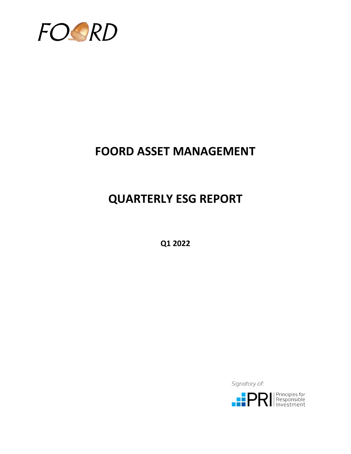

## **FOORD ASSET MANAGEMENT**

# **QUARTERLY ESG REPORT**

**Q1 2022**

Signatory of:

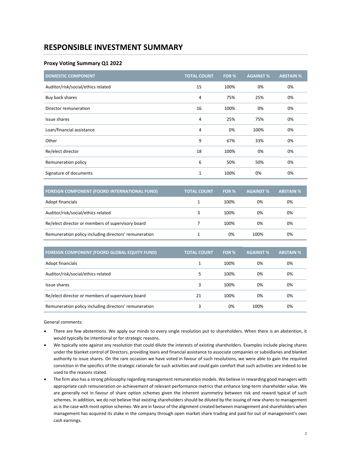### **RESPONSIBLE INVESTMENT SUMMARY**

#### **Proxy Voting Summary Q1 2022**

| <b>DOMESTIC COMPONENT</b>          | <b>TOTAL COUNT</b> | FOR % | <b>AGAINST%</b> | <b>ABSTAIN %</b> |
|------------------------------------|--------------------|-------|-----------------|------------------|
| Auditor/risk/social/ethics related | 15                 | 100%  | 0%              | 0%               |
| Buy back shares                    | 4                  | 75%   | 25%             | 0%               |
| Director remuneration              | 16                 | 100%  | 0%              | 0%               |
| Issue shares                       | 4                  | 25%   | 75%             | 0%               |
| Loan/financial assistance          | 4                  | 0%    | 100%            | 0%               |
| Other                              | 9                  | 67%   | 33%             | 0%               |
| Re/elect director                  | 18                 | 100%  | 0%              | 0%               |
| Remuneration policy                | 6                  | 50%   | 50%             | 0%               |
| Signature of documents             | 1                  | 100%  | 0%              | 0%               |

| <b>FOREIGN COMPONENT (FOORD INTERNATIONAL FUND)</b>   | <b>TOTAL COUNT</b> | FOR % | <b>AGAINST %</b> | <b>ABSTAIN %</b> |
|-------------------------------------------------------|--------------------|-------|------------------|------------------|
| Adopt financials                                      |                    | 100%  | 0%               | 0%               |
| Auditor/risk/social/ethics related                    | 3                  | 100%  | 0%               | 0%               |
| Re/elect director or members of supervisory board     |                    | 100%  | 0%               | 0%               |
| Remuneration policy including directors' remuneration |                    | 0%    | 100%             | 0%               |

| <b>FOREIGN COMPONENT (FOORD GLOBAL EQUITY FUND)</b>   | <b>TOTAL COUNT</b> | FOR % | <b>AGAINST %</b> | <b>ABSTAIN %</b> |
|-------------------------------------------------------|--------------------|-------|------------------|------------------|
| Adopt financials                                      |                    | 100%  | 0%               | 0%               |
| Auditor/risk/social/ethics related                    | 5                  | 100%  | 0%               | 0%               |
| Issue shares                                          | 3                  | 100%  | 0%               | 0%               |
| Re/elect director or members of supervisory board     | 21                 | 100%  | 0%               | 0%               |
| Remuneration policy including directors' remuneration | 3                  | 0%    | 100%             | 0%               |

General comments:

- There are few abstentions. We apply our minds to every single resolution put to shareholders. When there is an abstention, it would typically be intentional or for strategic reasons.
- We typically vote against any resolution that could dilute the interests of existing shareholders. Examples include placing shares under the blanket control of Directors, providing loans and financial assistance to associate companies or subsidiaries and blanket authority to issue shares. On the rare occasion we have voted in favour of such resolutions, we were able to gain the required conviction in the specifics of the strategic rationale for such activities and could gain comfort that such activities are indeed to be used to the reasons stated.
- The firm also has a strong philosophy regarding management remuneration models. We believe in rewarding good managers with appropriate cash remuneration on achievement of relevant performance metrics that enhance long-term shareholder value. We are generally not in favour of share option schemes given the inherent asymmetry between risk and reward typical of such schemes. In addition, we do not believe that existing shareholders should be diluted by the issuing of new shares to management as is the case with most option schemes. We are in favour of the alignment created between management and shareholders when management has acquired its stake in the company through open market share trading and paid for out of management's own cash earnings.